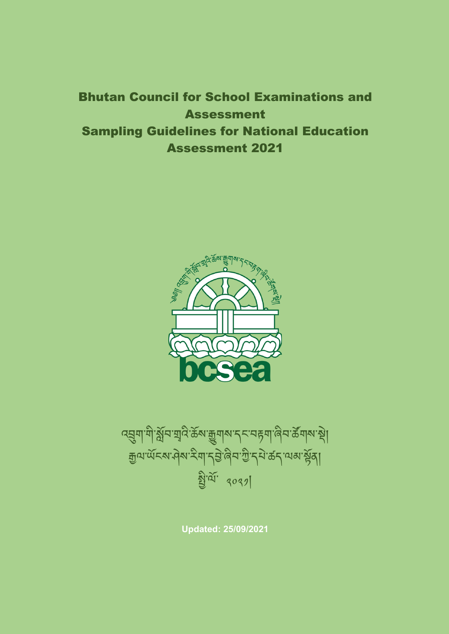Bhutan Council for School Examinations and Assessment Sampling Guidelines for National Education Assessment 2021



ব্র্ম্বশাশীর্ষ্ণমাত্মবিক্টেম্ব্র্জ্বশম্বে মাকবাৰী জীবার্জ্যমান্থা <u>ক</u>ুণ'ৰ্অঁহৰ' নীৰ ইয়া' বৃত্তী' বুলি' বুলি বুলি বিভিন্ন বিভিন্ন ས་ལོ་ ༢༠༢༡།

**Updated: 25/09/2021**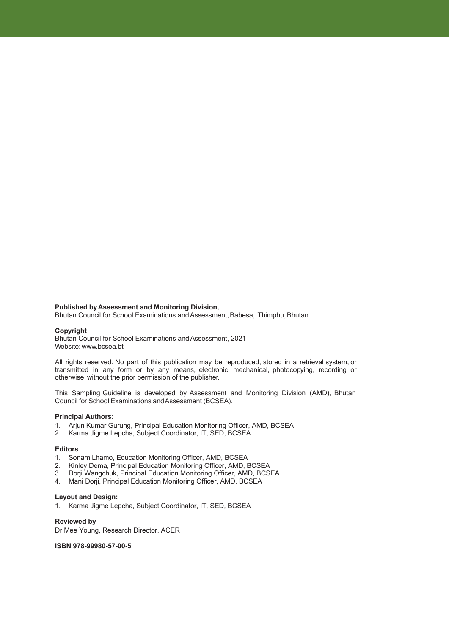#### **Published byAssessment and Monitoring Division,**

Bhutan Council for School Examinations and Assessment, Babesa, Thimphu, Bhutan.

#### **Copyright**

Bhutan Council for School Examinations and Assessment, 2021 Website: www.bcsea.bt

All rights reserved. No part of this publication may be reproduced, stored in a retrieval system, or transmitted in any form or by any means, electronic, mechanical, photocopying, recording or otherwise, without the prior permission of the publisher.

This Sampling Guideline is developed by Assessment and Monitoring Division (AMD), Bhutan Council for School Examinations andAssessment (BCSEA).

#### **Principal Authors:**

- 1. Arjun Kumar Gurung, Principal Education Monitoring Officer, AMD, BCSEA
- 2. Karma Jigme Lepcha, Subject Coordinator, IT, SED, BCSEA

#### **Editors**

- 1. Sonam Lhamo, Education Monitoring Officer, AMD, BCSEA
- 
- 2. Kinley Dema, Principal Education Monitoring Officer, AMD, BCSEA<br>3. Dorii Wangchuk, Principal Education Monitoring Officer, AMD, BCSEA 3. Dorji Wangchuk, Principal Education Monitoring Officer, AMD, BCSEA
- 4. Mani Dorji, Principal Education Monitoring Officer, AMD, BCSEA

#### **Layout and Design:**

1. Karma Jigme Lepcha, Subject Coordinator, IT, SED, BCSEA

#### **Reviewed by**

Dr Mee Young, Research Director, ACER

**ISBN 978-99980-57-00-5**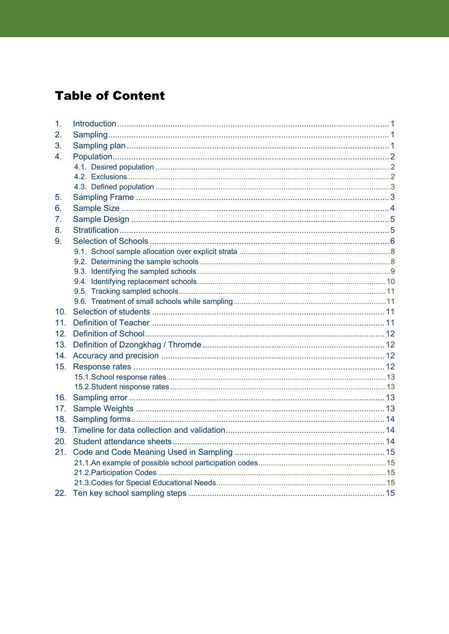# **Table of Content**

| 1.  |  |
|-----|--|
| 2.  |  |
| 3.  |  |
| 4.  |  |
|     |  |
|     |  |
|     |  |
| 5.  |  |
| 6.  |  |
| 7.  |  |
| 8.  |  |
| 9.  |  |
|     |  |
|     |  |
|     |  |
|     |  |
|     |  |
|     |  |
| 10  |  |
| 11. |  |
| 12. |  |
| 13. |  |
| 14. |  |
| 15. |  |
|     |  |
|     |  |
| 16. |  |
| 17. |  |
| 18. |  |
| 19. |  |
| 20. |  |
| 21. |  |
|     |  |
|     |  |
|     |  |
|     |  |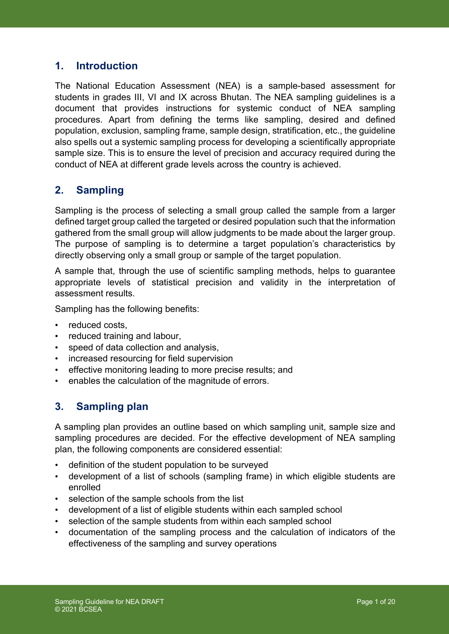## **1. Introduction**

The National Education Assessment (NEA) is a sample-based assessment for students in grades III, VI and IX across Bhutan. The NEA sampling guidelines is a document that provides instructions for systemic conduct of NEA sampling procedures. Apart from defining the terms like sampling, desired and defined population, exclusion, sampling frame, sample design, stratification, etc., the guideline also spells out a systemic sampling process for developing a scientifically appropriate sample size. This is to ensure the level of precision and accuracy required during the conduct of NEA at different grade levels across the country is achieved.

## **2. Sampling**

Sampling is the process of selecting a small group called the sample from a larger defined target group called the targeted or desired population such that the information gathered from the small group will allow judgments to be made about the larger group. The purpose of sampling is to determine a target population's characteristics by directly observing only a small group or sample of the target population.

A sample that, through the use of scientific sampling methods, helps to guarantee appropriate levels of statistical precision and validity in the interpretation of assessment results.

Sampling has the following benefits:

- reduced costs,
- reduced training and labour,
- speed of data collection and analysis,
- increased resourcing for field supervision
- effective monitoring leading to more precise results; and
- enables the calculation of the magnitude of errors.

### **3. Sampling plan**

A sampling plan provides an outline based on which sampling unit, sample size and sampling procedures are decided. For the effective development of NEA sampling plan, the following components are considered essential:

- definition of the student population to be surveyed
- development of a list of schools (sampling frame) in which eligible students are enrolled
- selection of the sample schools from the list
- development of a list of eligible students within each sampled school
- selection of the sample students from within each sampled school
- documentation of the sampling process and the calculation of indicators of the effectiveness of the sampling and survey operations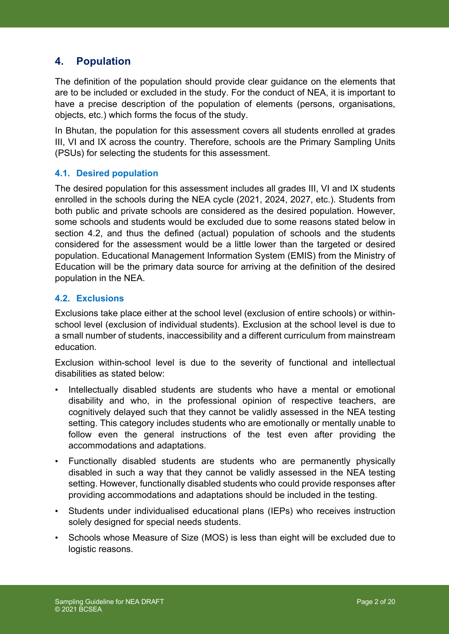### **4. Population**

The definition of the population should provide clear guidance on the elements that are to be included or excluded in the study. For the conduct of NEA, it is important to have a precise description of the population of elements (persons, organisations, objects, etc.) which forms the focus of the study.

In Bhutan, the population for this assessment covers all students enrolled at grades III, VI and IX across the country. Therefore, schools are the Primary Sampling Units (PSUs) for selecting the students for this assessment.

### **4.1. Desired population**

The desired population for this assessment includes all grades III, VI and IX students enrolled in the schools during the NEA cycle (2021, 2024, 2027, etc.). Students from both public and private schools are considered as the desired population. However, some schools and students would be excluded due to some reasons stated below in section 4.2, and thus the defined (actual) population of schools and the students considered for the assessment would be a little lower than the targeted or desired population. Educational Management Information System (EMIS) from the Ministry of Education will be the primary data source for arriving at the definition of the desired population in the NEA.

#### **4.2. Exclusions**

Exclusions take place either at the school level (exclusion of entire schools) or withinschool level (exclusion of individual students). Exclusion at the school level is due to a small number of students, inaccessibility and a different curriculum from mainstream education.

Exclusion within-school level is due to the severity of functional and intellectual disabilities as stated below:

- Intellectually disabled students are students who have a mental or emotional disability and who, in the professional opinion of respective teachers, are cognitively delayed such that they cannot be validly assessed in the NEA testing setting. This category includes students who are emotionally or mentally unable to follow even the general instructions of the test even after providing the accommodations and adaptations.
- Functionally disabled students are students who are permanently physically disabled in such a way that they cannot be validly assessed in the NEA testing setting. However, functionally disabled students who could provide responses after providing accommodations and adaptations should be included in the testing.
- Students under individualised educational plans (IEPs) who receives instruction solely designed for special needs students.
- Schools whose Measure of Size (MOS) is less than eight will be excluded due to logistic reasons.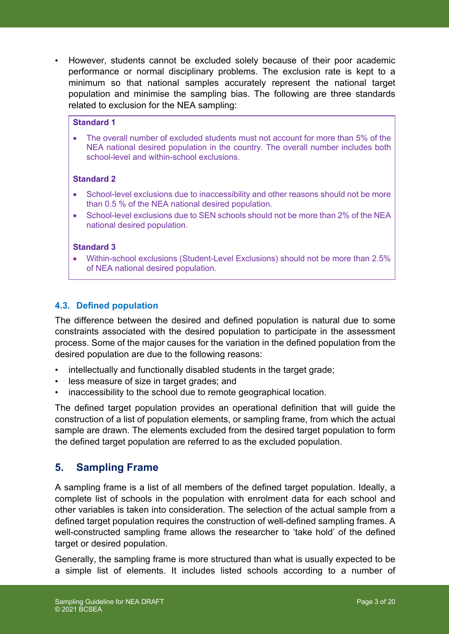• However, students cannot be excluded solely because of their poor academic performance or normal disciplinary problems. The exclusion rate is kept to a minimum so that national samples accurately represent the national target population and minimise the sampling bias. The following are three standards related to exclusion for the NEA sampling:

### **Standard 1**

• The overall number of excluded students must not account for more than 5% of the NEA national desired population in the country. The overall number includes both school-level and within-school exclusions.

#### **Standard 2**

- School-level exclusions due to inaccessibility and other reasons should not be more than 0.5 % of the NEA national desired population.
- School-level exclusions due to SEN schools should not be more than 2% of the NEA national desired population.

#### **Standard 3**

• Within-school exclusions (Student-Level Exclusions) should not be more than 2.5% of NEA national desired population.

### **4.3. Defined population**

The difference between the desired and defined population is natural due to some constraints associated with the desired population to participate in the assessment process. Some of the major causes for the variation in the defined population from the desired population are due to the following reasons:

- intellectually and functionally disabled students in the target grade;
- less measure of size in target grades; and
- inaccessibility to the school due to remote geographical location.

The defined target population provides an operational definition that will guide the construction of a list of population elements, or sampling frame, from which the actual sample are drawn. The elements excluded from the desired target population to form the defined target population are referred to as the excluded population.

### **5. Sampling Frame**

A sampling frame is a list of all members of the defined target population. Ideally, a complete list of schools in the population with enrolment data for each school and other variables is taken into consideration. The selection of the actual sample from a defined target population requires the construction of well-defined sampling frames. A well-constructed sampling frame allows the researcher to 'take hold' of the defined target or desired population.

Generally, the sampling frame is more structured than what is usually expected to be a simple list of elements. It includes listed schools according to a number of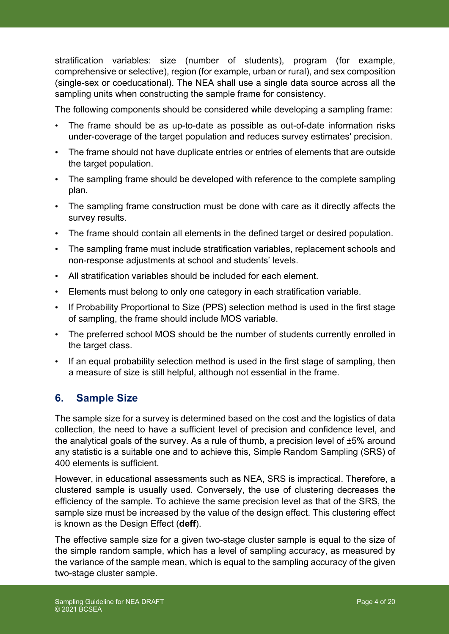stratification variables: size (number of students), program (for example, comprehensive or selective), region (for example, urban or rural), and sex composition (single-sex or coeducational). The NEA shall use a single data source across all the sampling units when constructing the sample frame for consistency.

The following components should be considered while developing a sampling frame:

- The frame should be as up-to-date as possible as out-of-date information risks under-coverage of the target population and reduces survey estimates' precision.
- The frame should not have duplicate entries or entries of elements that are outside the target population.
- The sampling frame should be developed with reference to the complete sampling plan.
- The sampling frame construction must be done with care as it directly affects the survey results.
- The frame should contain all elements in the defined target or desired population.
- The sampling frame must include stratification variables, replacement schools and non-response adjustments at school and students' levels.
- All stratification variables should be included for each element.
- Elements must belong to only one category in each stratification variable.
- If Probability Proportional to Size (PPS) selection method is used in the first stage of sampling, the frame should include MOS variable.
- The preferred school MOS should be the number of students currently enrolled in the target class.
- If an equal probability selection method is used in the first stage of sampling, then a measure of size is still helpful, although not essential in the frame.

## **6. Sample Size**

The sample size for a survey is determined based on the cost and the logistics of data collection, the need to have a sufficient level of precision and confidence level, and the analytical goals of the survey. As a rule of thumb, a precision level of ±5% around any statistic is a suitable one and to achieve this, Simple Random Sampling (SRS) of 400 elements is sufficient.

However, in educational assessments such as NEA, SRS is impractical. Therefore, a clustered sample is usually used. Conversely, the use of clustering decreases the efficiency of the sample. To achieve the same precision level as that of the SRS, the sample size must be increased by the value of the design effect. This clustering effect is known as the Design Effect (**deff**).

The effective sample size for a given two-stage cluster sample is equal to the size of the simple random sample, which has a level of sampling accuracy, as measured by the variance of the sample mean, which is equal to the sampling accuracy of the given two-stage cluster sample.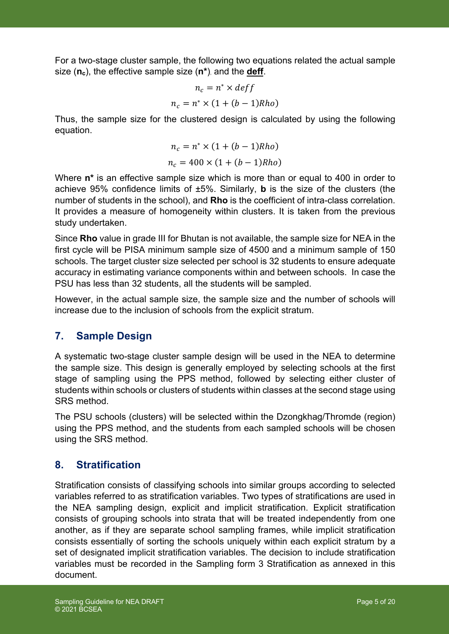For a two-stage cluster sample, the following two equations related the actual sample size (**nc**), the effective sample size (**n\***), and the **deff**.

$$
n_c = n^* \times \text{def} f
$$

$$
n_c = n^* \times (1 + (b - 1)Rho)
$$

Thus, the sample size for the clustered design is calculated by using the following equation.

$$
n_c = n^* \times (1 + (b - 1)Rho)
$$
  

$$
n_c = 400 \times (1 + (b - 1)Rho)
$$

Where **n\*** is an effective sample size which is more than or equal to 400 in order to achieve 95% confidence limits of ±5%. Similarly, **b** is the size of the clusters (the number of students in the school), and **Rho** is the coefficient of intra-class correlation. It provides a measure of homogeneity within clusters. It is taken from the previous study undertaken.

Since **Rho** value in grade III for Bhutan is not available, the sample size for NEA in the first cycle will be PISA minimum sample size of 4500 and a minimum sample of 150 schools. The target cluster size selected per school is 32 students to ensure adequate accuracy in estimating variance components within and between schools. In case the PSU has less than 32 students, all the students will be sampled.

However, in the actual sample size, the sample size and the number of schools will increase due to the inclusion of schools from the explicit stratum.

## **7. Sample Design**

A systematic two-stage cluster sample design will be used in the NEA to determine the sample size. This design is generally employed by selecting schools at the first stage of sampling using the PPS method, followed by selecting either cluster of students within schools or clusters of students within classes at the second stage using SRS method.

The PSU schools (clusters) will be selected within the Dzongkhag/Thromde (region) using the PPS method, and the students from each sampled schools will be chosen using the SRS method.

## **8. Stratification**

Stratification consists of classifying schools into similar groups according to selected variables referred to as stratification variables. Two types of stratifications are used in the NEA sampling design, explicit and implicit stratification. Explicit stratification consists of grouping schools into strata that will be treated independently from one another, as if they are separate school sampling frames, while implicit stratification consists essentially of sorting the schools uniquely within each explicit stratum by a set of designated implicit stratification variables. The decision to include stratification variables must be recorded in the Sampling form 3 Stratification as annexed in this document.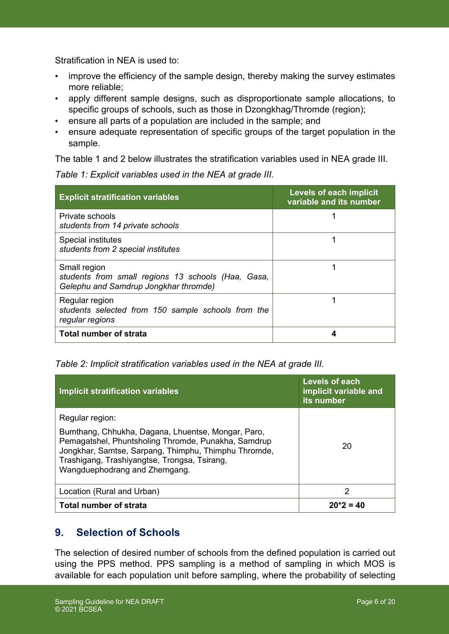Stratification in NEA is used to:

- improve the efficiency of the sample design, thereby making the survey estimates more reliable;
- apply different sample designs, such as disproportionate sample allocations, to specific groups of schools, such as those in Dzongkhag/Thromde (region);
- ensure all parts of a population are included in the sample; and
- ensure adequate representation of specific groups of the target population in the sample.

The table 1 and 2 below illustrates the stratification variables used in NEA grade III.

| <b>Explicit stratification variables</b>                                                                    | <b>Levels of each implicit</b><br>variable and its number |
|-------------------------------------------------------------------------------------------------------------|-----------------------------------------------------------|
| Private schools<br>students from 14 private schools                                                         |                                                           |
| Special institutes<br>students from 2 special institutes                                                    |                                                           |
| Small region<br>students from small regions 13 schools (Haa, Gasa,<br>Gelephu and Samdrup Jongkhar thromde) |                                                           |
| Regular region<br>students selected from 150 sample schools from the<br>regular regions                     |                                                           |
| <b>Total number of strata</b>                                                                               |                                                           |

*Table 1: Explicit variables used in the NEA at grade III.*

### *Table 2: Implicit stratification variables used in the NEA at grade III.*

| Implicit stratification variables                                                                                                                                                                                                                                     | Levels of each<br>implicit variable and<br>its number |
|-----------------------------------------------------------------------------------------------------------------------------------------------------------------------------------------------------------------------------------------------------------------------|-------------------------------------------------------|
| Regular region:<br>Bumthang, Chhukha, Dagana, Lhuentse, Mongar, Paro,<br>Pemagatshel, Phuntsholing Thromde, Punakha, Samdrup<br>Jongkhar, Samtse, Sarpang, Thimphu, Thimphu Thromde,<br>Trashigang, Trashiyangtse, Trongsa, Tsirang,<br>Wangduephodrang and Zhemgang. | 20                                                    |
| Location (Rural and Urban)                                                                                                                                                                                                                                            | 2                                                     |
| <b>Total number of strata</b>                                                                                                                                                                                                                                         | $20*2 = 40$                                           |

## **9. Selection of Schools**

The selection of desired number of schools from the defined population is carried out using the PPS method. PPS sampling is a method of sampling in which MOS is available for each population unit before sampling, where the probability of selecting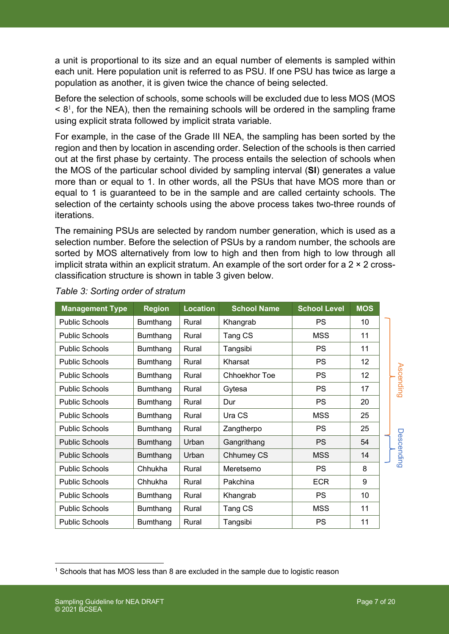a unit is proportional to its size and an equal number of elements is sampled within each unit. Here population unit is referred to as PSU. If one PSU has twice as large a population as another, it is given twice the chance of being selected.

Before the selection of schools, some schools will be excluded due to less MOS (MOS  $\leq$  8<sup>1</sup>, for the NEA), then the remaining schools will be ordered in the sampling frame using explicit strata followed by implicit strata variable.

For example, in the case of the Grade III NEA, the sampling has been sorted by the region and then by location in ascending order. Selection of the schools is then carried out at the first phase by certainty. The process entails the selection of schools when the MOS of the particular school divided by sampling interval (**SI**) generates a value more than or equal to 1. In other words, all the PSUs that have MOS more than or equal to 1 is guaranteed to be in the sample and are called certainty schools. The selection of the certainty schools using the above process takes two-three rounds of iterations.

The remaining PSUs are selected by random number generation, which is used as a selection number. Before the selection of PSUs by a random number, the schools are sorted by MOS alternatively from low to high and then from high to low through all implicit strata within an explicit stratum. An example of the sort order for a  $2 \times 2$  crossclassification structure is shown in table 3 given below.

| <b>Management Type</b> | <b>Region</b>   | <b>Location</b> | <b>School Name</b>   | <b>School Level</b> | <b>MOS</b> |            |
|------------------------|-----------------|-----------------|----------------------|---------------------|------------|------------|
| <b>Public Schools</b>  | <b>Bumthang</b> | Rural           | Khangrab             | <b>PS</b>           | 10         |            |
| <b>Public Schools</b>  | <b>Bumthang</b> | Rural           | Tang CS              | <b>MSS</b>          | 11         |            |
| <b>Public Schools</b>  | Bumthang        | Rural           | Tangsibi             | <b>PS</b>           | 11         |            |
| <b>Public Schools</b>  | <b>Bumthang</b> | Rural           | Kharsat              | <b>PS</b>           | 12         |            |
| <b>Public Schools</b>  | <b>Bumthang</b> | Rural           | <b>Chhoekhor Toe</b> | <b>PS</b>           | 12         | Ascending  |
| <b>Public Schools</b>  | Bumthang        | Rural           | Gytesa               | <b>PS</b>           | 17         |            |
| <b>Public Schools</b>  | <b>Bumthang</b> | Rural           | Dur                  | <b>PS</b>           | 20         |            |
| <b>Public Schools</b>  | Bumthang        | Rural           | Ura CS               | <b>MSS</b>          | 25         |            |
| <b>Public Schools</b>  | <b>Bumthang</b> | Rural           | Zangtherpo           | <b>PS</b>           | 25         |            |
| <b>Public Schools</b>  | Bumthang        | Urban           | Gangrithang          | <b>PS</b>           | 54         | Descending |
| <b>Public Schools</b>  | <b>Bumthang</b> | Urban           | Chhumey CS           | <b>MSS</b>          | 14         |            |
| <b>Public Schools</b>  | Chhukha         | Rural           | Meretsemo            | <b>PS</b>           | 8          |            |
| <b>Public Schools</b>  | Chhukha         | Rural           | Pakchina             | <b>ECR</b>          | 9          |            |
| <b>Public Schools</b>  | <b>Bumthang</b> | Rural           | Khangrab             | <b>PS</b>           | 10         |            |
| <b>Public Schools</b>  | Bumthang        | Rural           | Tang CS              | <b>MSS</b>          | 11         |            |
| <b>Public Schools</b>  | <b>Bumthang</b> | Rural           | Tangsibi             | <b>PS</b>           | 11         |            |

*Table 3: Sorting order of stratum*

<sup>1</sup> Schools that has MOS less than 8 are excluded in the sample due to logistic reason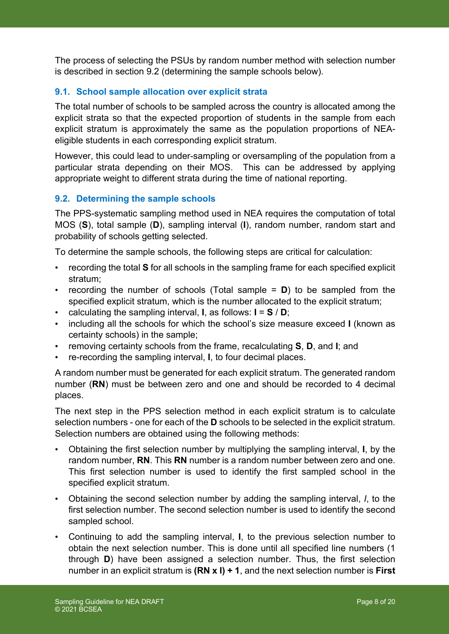The process of selecting the PSUs by random number method with selection number is described in section 9.2 (determining the sample schools below).

### **9.1. School sample allocation over explicit strata**

The total number of schools to be sampled across the country is allocated among the explicit strata so that the expected proportion of students in the sample from each explicit stratum is approximately the same as the population proportions of NEAeligible students in each corresponding explicit stratum.

However, this could lead to under-sampling or oversampling of the population from a particular strata depending on their MOS. This can be addressed by applying appropriate weight to different strata during the time of national reporting.

### **9.2. Determining the sample schools**

The PPS-systematic sampling method used in NEA requires the computation of total MOS (**S**), total sample (**D**), sampling interval (**I**), random number, random start and probability of schools getting selected.

To determine the sample schools, the following steps are critical for calculation:

- recording the total **S** for all schools in the sampling frame for each specified explicit stratum;
- recording the number of schools (Total sample = **D**) to be sampled from the specified explicit stratum, which is the number allocated to the explicit stratum;
- calculating the sampling interval, **I**, as follows:  $I = S / D$ ;
- including all the schools for which the school's size measure exceed **I** (known as certainty schools) in the sample;
- removing certainty schools from the frame, recalculating **S**, **D**, and **I**; and
- re-recording the sampling interval, **I**, to four decimal places.

A random number must be generated for each explicit stratum. The generated random number (**RN**) must be between zero and one and should be recorded to 4 decimal places.

The next step in the PPS selection method in each explicit stratum is to calculate selection numbers - one for each of the **D** schools to be selected in the explicit stratum. Selection numbers are obtained using the following methods:

- Obtaining the first selection number by multiplying the sampling interval, **I**, by the random number, **RN**. This **RN** number is a random number between zero and one. This first selection number is used to identify the first sampled school in the specified explicit stratum.
- Obtaining the second selection number by adding the sampling interval, *I*, to the first selection number. The second selection number is used to identify the second sampled school.
- Continuing to add the sampling interval, **I**, to the previous selection number to obtain the next selection number. This is done until all specified line numbers (1 through **D**) have been assigned a selection number. Thus, the first selection number in an explicit stratum is **(RN x I) + 1**, and the next selection number is **First**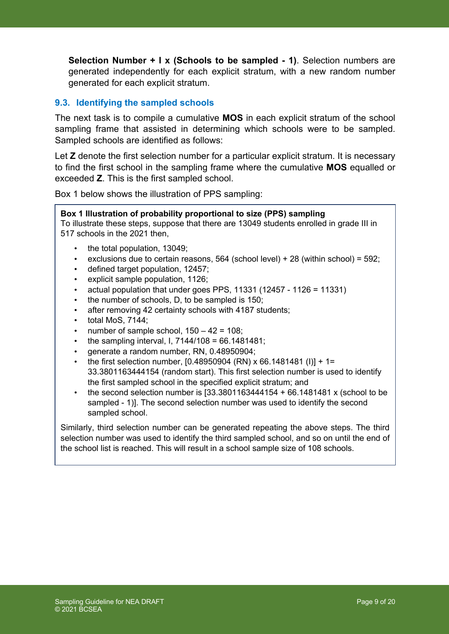**Selection Number + I x (Schools to be sampled - 1)**. Selection numbers are generated independently for each explicit stratum, with a new random number generated for each explicit stratum.

### **9.3. Identifying the sampled schools**

The next task is to compile a cumulative **MOS** in each explicit stratum of the school sampling frame that assisted in determining which schools were to be sampled. Sampled schools are identified as follows:

Let **Z** denote the first selection number for a particular explicit stratum. It is necessary to find the first school in the sampling frame where the cumulative **MOS** equalled or exceeded **Z**. This is the first sampled school.

Box 1 below shows the illustration of PPS sampling:

#### **Box 1 Illustration of probability proportional to size (PPS) sampling**

To illustrate these steps, suppose that there are 13049 students enrolled in grade III in 517 schools in the 2021 then,

- the total population, 13049;
- exclusions due to certain reasons, 564 (school level) + 28 (within school) = 592;
- defined target population, 12457;
- explicit sample population, 1126;
- actual population that under goes PPS, 11331 (12457 1126 = 11331)
- the number of schools, D, to be sampled is 150;
- after removing 42 certainty schools with 4187 students;
- total MoS, 7144;
- number of sample school,  $150 42 = 108$ ;
- the sampling interval, I,  $7144/108 = 66.1481481$ ;
- generate a random number, RN, 0.48950904;
- the first selection number, [0.48950904 (RN) x 66.1481481 (I)] + 1= 33.3801163444154 (random start). This first selection number is used to identify the first sampled school in the specified explicit stratum; and
- the second selection number is  $[33.3801163444154 + 66.1481481 \times (school to be$ sampled - 1)]. The second selection number was used to identify the second sampled school.

Similarly, third selection number can be generated repeating the above steps. The third selection number was used to identify the third sampled school, and so on until the end of the school list is reached. This will result in a school sample size of 108 schools.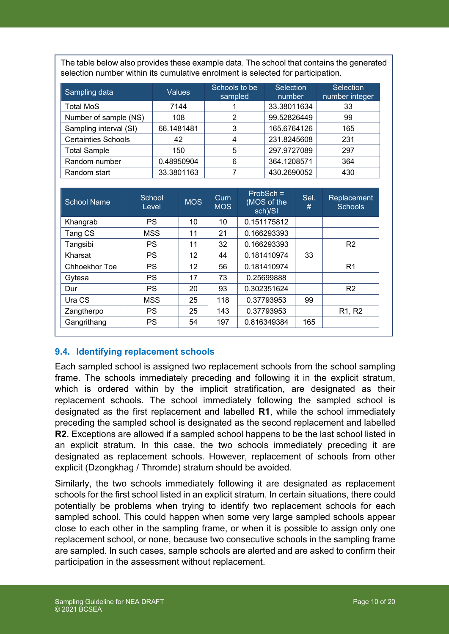The table below also provides these example data. The school that contains the generated selection number within its cumulative enrolment is selected for participation.

| Sampling data              | Values     | Schools to be<br>sampled | <b>Selection</b><br>number | <b>Selection</b><br>number integer |
|----------------------------|------------|--------------------------|----------------------------|------------------------------------|
| <b>Total MoS</b>           | 7144       |                          | 33.38011634                | 33                                 |
| Number of sample (NS)      | 108        | 2                        | 99.52826449                | 99                                 |
| Sampling interval (SI)     | 66.1481481 | 3                        | 165.6764126                | 165                                |
| <b>Certainties Schools</b> | 42         | 4                        | 231.8245608                | 231                                |
| <b>Total Sample</b>        | 150        | 5                        | 297.9727089                | 297                                |
| Random number              | 0.48950904 | 6                        | 364.1208571                | 364                                |
| Random start               | 33.3801163 |                          | 430.2690052                | 430                                |

| <b>School Name</b> | School<br>Level | <b>MOS</b> | Cum<br><b>MOS</b> | $ProbSch =$<br>(MOS of the<br>sch)/SI | Sel.<br># | Replacement<br><b>Schools</b>   |
|--------------------|-----------------|------------|-------------------|---------------------------------------|-----------|---------------------------------|
| Khangrab           | <b>PS</b>       | 10         | 10                | 0.151175812                           |           |                                 |
| Tang CS            | MSS             | 11         | 21                | 0.166293393                           |           |                                 |
| Tangsibi           | <b>PS</b>       | 11         | 32                | 0.166293393                           |           | R <sub>2</sub>                  |
| Kharsat            | <b>PS</b>       | 12         | 44                | 0.181410974                           | 33        |                                 |
| Chhoekhor Toe      | <b>PS</b>       | 12         | 56                | 0.181410974                           |           | R <sub>1</sub>                  |
| Gytesa             | <b>PS</b>       | 17         | 73                | 0.25699888                            |           |                                 |
| Dur                | <b>PS</b>       | 20         | 93                | 0.302351624                           |           | R <sub>2</sub>                  |
| Ura CS             | <b>MSS</b>      | 25         | 118               | 0.37793953                            | 99        |                                 |
| Zangtherpo         | <b>PS</b>       | 25         | 143               | 0.37793953                            |           | R <sub>1</sub> , R <sub>2</sub> |
| Gangrithang        | <b>PS</b>       | 54         | 197               | 0.816349384                           | 165       |                                 |

### **9.4. Identifying replacement schools**

Each sampled school is assigned two replacement schools from the school sampling frame. The schools immediately preceding and following it in the explicit stratum, which is ordered within by the implicit stratification, are designated as their replacement schools. The school immediately following the sampled school is designated as the first replacement and labelled **R1**, while the school immediately preceding the sampled school is designated as the second replacement and labelled **R2**. Exceptions are allowed if a sampled school happens to be the last school listed in an explicit stratum. In this case, the two schools immediately preceding it are designated as replacement schools. However, replacement of schools from other explicit (Dzongkhag / Thromde) stratum should be avoided.

Similarly, the two schools immediately following it are designated as replacement schools for the first school listed in an explicit stratum. In certain situations, there could potentially be problems when trying to identify two replacement schools for each sampled school. This could happen when some very large sampled schools appear close to each other in the sampling frame, or when it is possible to assign only one replacement school, or none, because two consecutive schools in the sampling frame are sampled. In such cases, sample schools are alerted and are asked to confirm their participation in the assessment without replacement.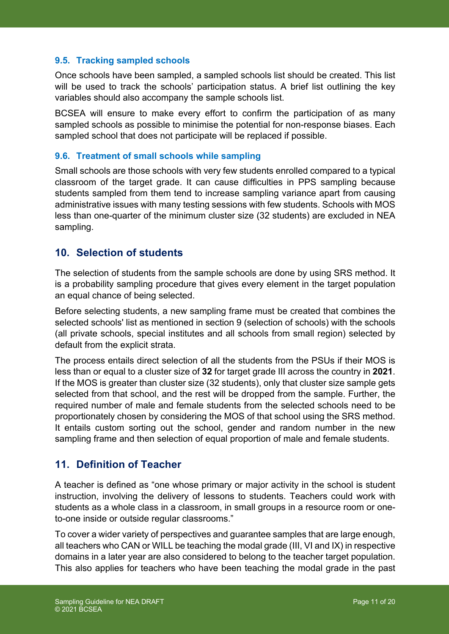### **9.5. Tracking sampled schools**

Once schools have been sampled, a sampled schools list should be created. This list will be used to track the schools' participation status. A brief list outlining the key variables should also accompany the sample schools list.

BCSEA will ensure to make every effort to confirm the participation of as many sampled schools as possible to minimise the potential for non-response biases. Each sampled school that does not participate will be replaced if possible.

#### **9.6. Treatment of small schools while sampling**

Small schools are those schools with very few students enrolled compared to a typical classroom of the target grade. It can cause difficulties in PPS sampling because students sampled from them tend to increase sampling variance apart from causing administrative issues with many testing sessions with few students. Schools with MOS less than one-quarter of the minimum cluster size (32 students) are excluded in NEA sampling.

### **10. Selection of students**

The selection of students from the sample schools are done by using SRS method. It is a probability sampling procedure that gives every element in the target population an equal chance of being selected.

Before selecting students, a new sampling frame must be created that combines the selected schools' list as mentioned in section 9 (selection of schools) with the schools (all private schools, special institutes and all schools from small region) selected by default from the explicit strata.

The process entails direct selection of all the students from the PSUs if their MOS is less than or equal to a cluster size of **32** for target grade III across the country in **2021**. If the MOS is greater than cluster size (32 students), only that cluster size sample gets selected from that school, and the rest will be dropped from the sample. Further, the required number of male and female students from the selected schools need to be proportionately chosen by considering the MOS of that school using the SRS method. It entails custom sorting out the school, gender and random number in the new sampling frame and then selection of equal proportion of male and female students.

### **11. Definition of Teacher**

A teacher is defined as "one whose primary or major activity in the school is student instruction, involving the delivery of lessons to students. Teachers could work with students as a whole class in a classroom, in small groups in a resource room or oneto-one inside or outside regular classrooms."

To cover a wider variety of perspectives and guarantee samples that are large enough, all teachers who CAN or WILL be teaching the modal grade (III, VI and IX) in respective domains in a later year are also considered to belong to the teacher target population. This also applies for teachers who have been teaching the modal grade in the past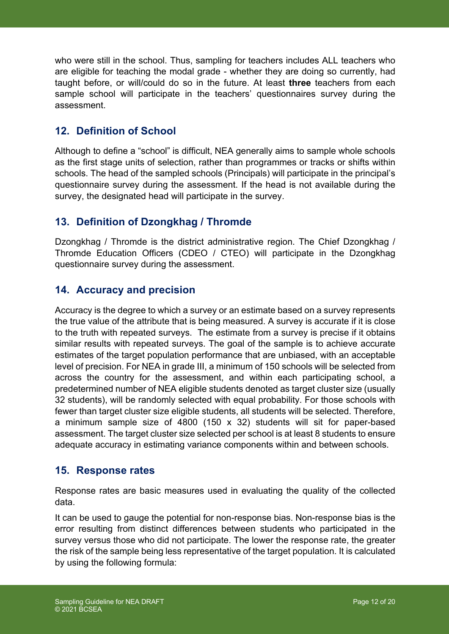who were still in the school. Thus, sampling for teachers includes ALL teachers who are eligible for teaching the modal grade - whether they are doing so currently, had taught before, or will/could do so in the future. At least **three** teachers from each sample school will participate in the teachers' questionnaires survey during the assessment.

### **12. Definition of School**

Although to define a "school" is difficult, NEA generally aims to sample whole schools as the first stage units of selection, rather than programmes or tracks or shifts within schools. The head of the sampled schools (Principals) will participate in the principal's questionnaire survey during the assessment. If the head is not available during the survey, the designated head will participate in the survey.

## **13. Definition of Dzongkhag / Thromde**

Dzongkhag / Thromde is the district administrative region. The Chief Dzongkhag / Thromde Education Officers (CDEO / CTEO) will participate in the Dzongkhag questionnaire survey during the assessment.

## **14. Accuracy and precision**

Accuracy is the degree to which a survey or an estimate based on a survey represents the true value of the attribute that is being measured. A survey is accurate if it is close to the truth with repeated surveys. The estimate from a survey is precise if it obtains similar results with repeated surveys. The goal of the sample is to achieve accurate estimates of the target population performance that are unbiased, with an acceptable level of precision. For NEA in grade III, a minimum of 150 schools will be selected from across the country for the assessment, and within each participating school, a predetermined number of NEA eligible students denoted as target cluster size (usually 32 students), will be randomly selected with equal probability. For those schools with fewer than target cluster size eligible students, all students will be selected. Therefore, a minimum sample size of 4800 (150 x 32) students will sit for paper-based assessment. The target cluster size selected per school is at least 8 students to ensure adequate accuracy in estimating variance components within and between schools.

### **15. Response rates**

Response rates are basic measures used in evaluating the quality of the collected data.

It can be used to gauge the potential for non-response bias. Non-response bias is the error resulting from distinct differences between students who participated in the survey versus those who did not participate. The lower the response rate, the greater the risk of the sample being less representative of the target population. It is calculated by using the following formula: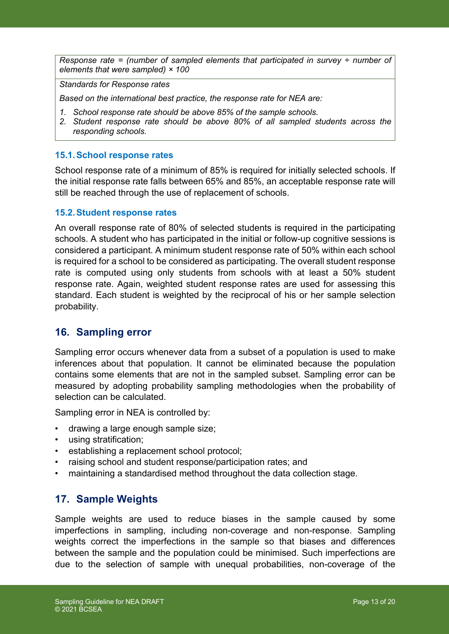*Response rate = (number of sampled elements that participated in survey ÷ number of elements that were sampled) × 100*

*Standards for Response rates*

*Based on the international best practice, the response rate for NEA are:* 

- *1. School response rate should be above 85% of the sample schools.*
- *2. Student response rate should be above 80% of all sampled students across the responding schools.*

#### **15.1.School response rates**

School response rate of a minimum of 85% is required for initially selected schools. If the initial response rate falls between 65% and 85%, an acceptable response rate will still be reached through the use of replacement of schools.

#### **15.2.Student response rates**

An overall response rate of 80% of selected students is required in the participating schools. A student who has participated in the initial or follow-up cognitive sessions is considered a participant. A minimum student response rate of 50% within each school is required for a school to be considered as participating. The overall student response rate is computed using only students from schools with at least a 50% student response rate. Again, weighted student response rates are used for assessing this standard. Each student is weighted by the reciprocal of his or her sample selection probability.

### **16. Sampling error**

Sampling error occurs whenever data from a subset of a population is used to make inferences about that population. It cannot be eliminated because the population contains some elements that are not in the sampled subset. Sampling error can be measured by adopting probability sampling methodologies when the probability of selection can be calculated.

Sampling error in NEA is controlled by:

- drawing a large enough sample size;
- using stratification;
- establishing a replacement school protocol;
- raising school and student response/participation rates; and
- maintaining a standardised method throughout the data collection stage.

### **17. Sample Weights**

Sample weights are used to reduce biases in the sample caused by some imperfections in sampling, including non-coverage and non-response. Sampling weights correct the imperfections in the sample so that biases and differences between the sample and the population could be minimised. Such imperfections are due to the selection of sample with unequal probabilities, non-coverage of the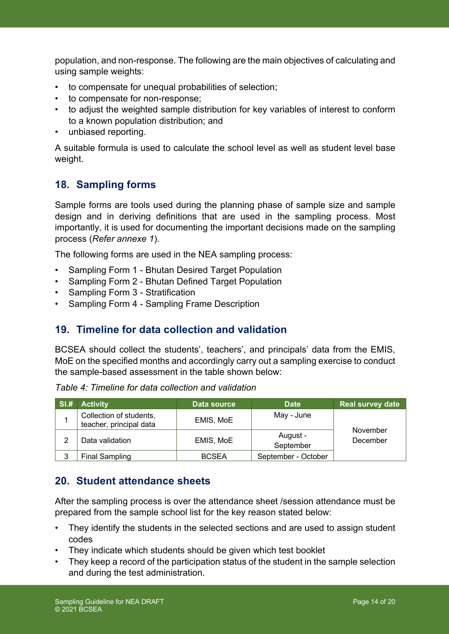population, and non-response. The following are the main objectives of calculating and using sample weights:

- to compensate for unequal probabilities of selection;
- to compensate for non-response;
- to adjust the weighted sample distribution for key variables of interest to conform to a known population distribution; and
- unbiased reporting.

A suitable formula is used to calculate the school level as well as student level base weight.

## **18. Sampling forms**

Sample forms are tools used during the planning phase of sample size and sample design and in deriving definitions that are used in the sampling process. Most importantly, it is used for documenting the important decisions made on the sampling process (*Refer annexe 1*).

The following forms are used in the NEA sampling process:

- Sampling Form 1 Bhutan Desired Target Population
- Sampling Form 2 Bhutan Defined Target Population
- Sampling Form 3 Stratification
- Sampling Form 4 Sampling Frame Description

### **19. Timeline for data collection and validation**

BCSEA should collect the students', teachers', and principals' data from the EMIS, MoE on the specified months and accordingly carry out a sampling exercise to conduct the sample-based assessment in the table shown below:

| SI.# | <b>Activity</b>                                    | Data source  | <b>Date</b>           | <b>Real survey date</b> |
|------|----------------------------------------------------|--------------|-----------------------|-------------------------|
|      | Collection of students,<br>teacher, principal data | EMIS, MoE    | May - June            |                         |
| ◠    | Data validation                                    | EMIS, MoE    | August -<br>September | November<br>December    |
| 3    | <b>Final Sampling</b>                              | <b>BCSEA</b> | September - October   |                         |

*Table 4: Timeline for data collection and validation*

## **20. Student attendance sheets**

After the sampling process is over the attendance sheet /session attendance must be prepared from the sample school list for the key reason stated below:

- They identify the students in the selected sections and are used to assign student codes
- They indicate which students should be given which test booklet
- They keep a record of the participation status of the student in the sample selection and during the test administration.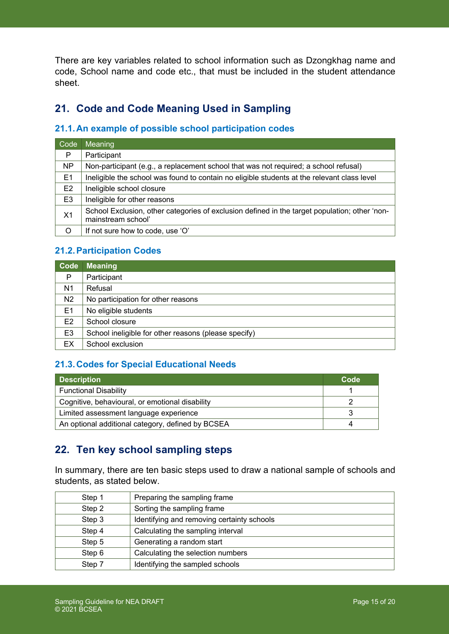There are key variables related to school information such as Dzongkhag name and code, School name and code etc., that must be included in the student attendance sheet.

## **21. Code and Code Meaning Used in Sampling**

### **21.1.An example of possible school participation codes**

| Code           | Meaning                                                                                                             |
|----------------|---------------------------------------------------------------------------------------------------------------------|
| P              | Participant                                                                                                         |
| <b>NP</b>      | Non-participant (e.g., a replacement school that was not required; a school refusal)                                |
| E1             | Ineligible the school was found to contain no eligible students at the relevant class level                         |
| E <sub>2</sub> | Ineligible school closure                                                                                           |
| E <sub>3</sub> | Ineligible for other reasons                                                                                        |
| X <sub>1</sub> | School Exclusion, other categories of exclusion defined in the target population; other 'non-<br>mainstream school' |
| O              | If not sure how to code, use 'O'                                                                                    |

### **21.2.Participation Codes**

| Code           | <b>Meaning</b>                                       |
|----------------|------------------------------------------------------|
| P              | Participant                                          |
| N <sub>1</sub> | Refusal                                              |
| N <sub>2</sub> | No participation for other reasons                   |
| E <sub>1</sub> | No eligible students                                 |
| E <sub>2</sub> | School closure                                       |
| E <sub>3</sub> | School ineligible for other reasons (please specify) |
| ЕX             | School exclusion                                     |

### **21.3.Codes for Special Educational Needs**

| <b>Description</b>                                | Code |
|---------------------------------------------------|------|
| <b>Functional Disability</b>                      |      |
| Cognitive, behavioural, or emotional disability   |      |
| Limited assessment language experience            |      |
| An optional additional category, defined by BCSEA |      |

## **22. Ten key school sampling steps**

In summary, there are ten basic steps used to draw a national sample of schools and students, as stated below.

| Step 1 | Preparing the sampling frame               |
|--------|--------------------------------------------|
| Step 2 | Sorting the sampling frame                 |
| Step 3 | Identifying and removing certainty schools |
| Step 4 | Calculating the sampling interval          |
| Step 5 | Generating a random start                  |
| Step 6 | Calculating the selection numbers          |
| Step 7 | Identifying the sampled schools            |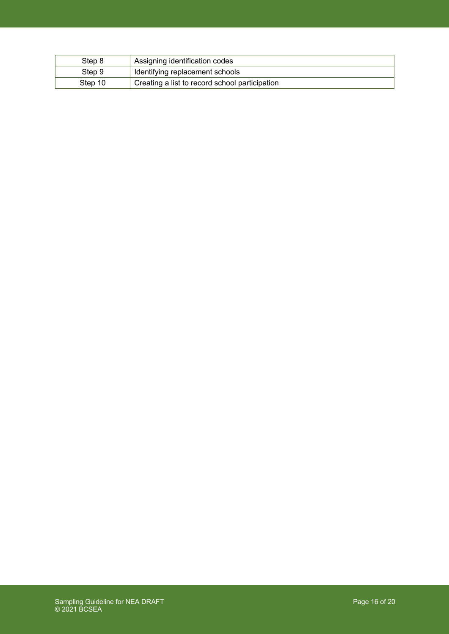| Step 8  | Assigning identification codes                 |
|---------|------------------------------------------------|
| Step 9  | Identifying replacement schools                |
| Step 10 | Creating a list to record school participation |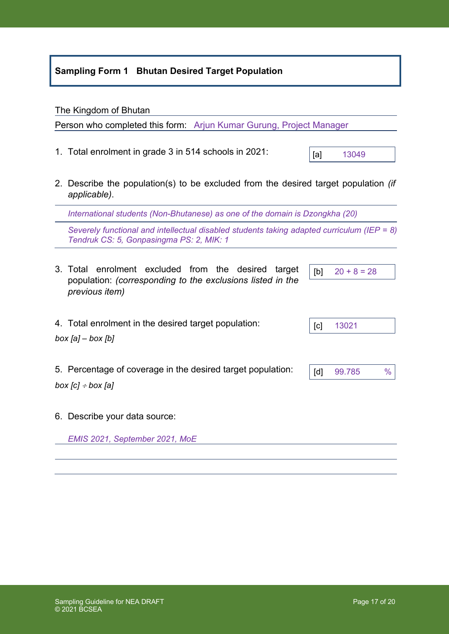### **Sampling Form 1 Bhutan Desired Target Population**

#### The Kingdom of Bhutan

Person who completed this form: Arjun Kumar Gurung, Project Manager

- 1. Total enrolment in grade 3 in 514 schools in 2021:
- 2. Describe the population(s) to be excluded from the desired target population *(if applicable)*.

*International students (Non-Bhutanese) as one of the domain is Dzongkha (20)*

*Severely functional and intellectual disabled students taking adapted curriculum (IEP = 8) Tendruk CS: 5, Gonpasingma PS: 2, MIK: 1*

- 3. Total enrolment excluded from the desired target population: *(corresponding to the exclusions listed in the previous item)*
- 4. Total enrolment in the desired target population:

*box [a] – box [b]*

- 5. Percentage of coverage in the desired target population: *box [c]* <sup>÷</sup> *box [a]*
- 6. Describe your data source:

*EMIS 2021, September 2021, MoE*

[c] 13021

 $[b]$  20 + 8 = 28

| $\overline{\phantom{a}}$<br>d٦ | 65<br>-99.7° |  |
|--------------------------------|--------------|--|

[a] 13049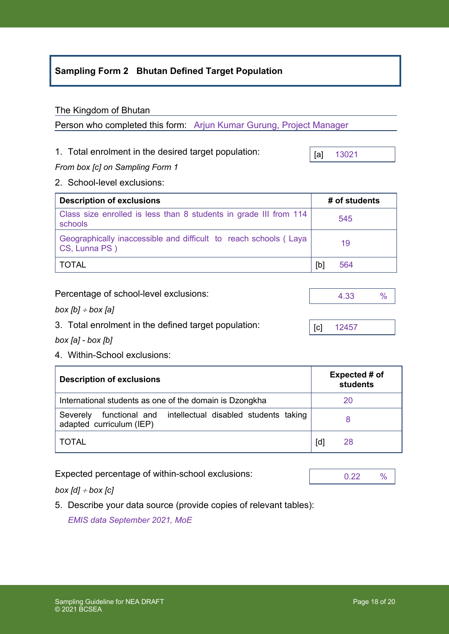### **Sampling Form 2 Bhutan Defined Target Population**

### The Kingdom of Bhutan

Person who completed this form: Arjun Kumar Gurung, Project Manager

### 1. Total enrolment in the desired target population:

*From box [c] on Sampling Form 1*

2. School-level exclusions:

| <b>Description of exclusions</b>                                                  |     | # of students |
|-----------------------------------------------------------------------------------|-----|---------------|
| Class size enrolled is less than 8 students in grade III from 114<br>schools      |     | 545           |
| Geographically inaccessible and difficult to reach schools (Laya<br>CS, Lunna PS) |     | 19            |
| TOTAL                                                                             | [b] | 564           |

| Percentage of school-level exclusions: |
|----------------------------------------|
|----------------------------------------|

*box [b]* <sup>÷</sup> *box [a]*

3. Total enrolment in the defined target population:

*box [a] - box [b]*

4. Within-School exclusions:

| <b>Description of exclusions</b>                                                             | Expected # of<br>students |    |
|----------------------------------------------------------------------------------------------|---------------------------|----|
| International students as one of the domain is Dzongkha                                      |                           | 20 |
| functional and intellectual disabled students taking<br>Severely<br>adapted curriculum (IEP) |                           |    |
| TOTAL                                                                                        | [q                        | 28 |

Expected percentage of within-school exclusions:

*box [d]* <sup>÷</sup> *box [c]*

5. Describe your data source (provide copies of relevant tables):

*EMIS data September 2021, MoE*



[a] 13021

[c] 12457

4.33 %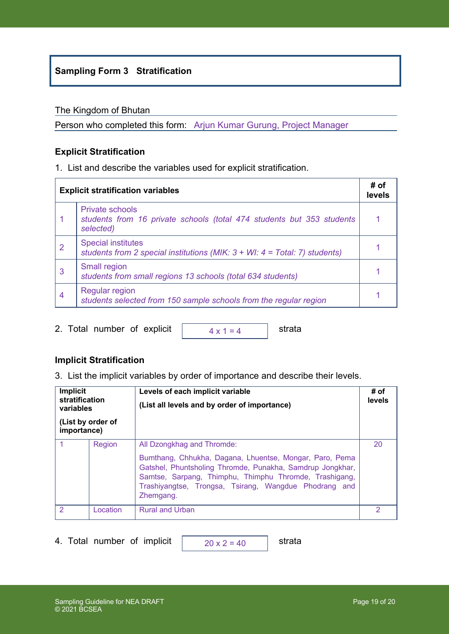### **Sampling Form 3 Stratification**

#### The Kingdom of Bhutan

Person who completed this form: Arjun Kumar Gurung, Project Manager

### **Explicit Stratification**

1. List and describe the variables used for explicit stratification.

|   | <b>Explicit stratification variables</b>                                                                      | # of<br>levels |
|---|---------------------------------------------------------------------------------------------------------------|----------------|
|   | <b>Private schools</b><br>students from 16 private schools (total 474 students but 353 students<br>selected)  |                |
| 2 | <b>Special institutes</b><br>students from 2 special institutions (MIK: $3 + WI$ : $4 = Total$ : 7) students) |                |
| 3 | Small region<br>students from small regions 13 schools (total 634 students)                                   |                |
| 4 | Regular region<br>students selected from 150 sample schools from the regular region                           |                |

2. Total number of explicit  $\sqrt{4 \times 1} = 4$  strata

 $4 \times 1 = 4$ 

### **Implicit Stratification**

3. List the implicit variables by order of importance and describe their levels.

| <b>Implicit</b><br>Levels of each implicit variable<br>stratification<br>(List all levels and by order of importance)<br>variables<br>(List by order of<br>importance) |          | # of<br>levels                                                                                                                                                                                                                                                                     |    |
|------------------------------------------------------------------------------------------------------------------------------------------------------------------------|----------|------------------------------------------------------------------------------------------------------------------------------------------------------------------------------------------------------------------------------------------------------------------------------------|----|
|                                                                                                                                                                        | Region   | All Dzongkhag and Thromde:<br>Bumthang, Chhukha, Dagana, Lhuentse, Mongar, Paro, Pema<br>Gatshel, Phuntsholing Thromde, Punakha, Samdrup Jongkhar,<br>Samtse, Sarpang, Thimphu, Thimphu Thromde, Trashigang,<br>Trashiyangtse, Trongsa, Tsirang, Wangdue Phodrang and<br>Zhemgang. | 20 |
| 2                                                                                                                                                                      | Location | <b>Rural and Urban</b>                                                                                                                                                                                                                                                             | 2  |

4. Total number of implicit  $\sqrt{20 \times 2} = 40$  strata

 $20 \times 2 = 40$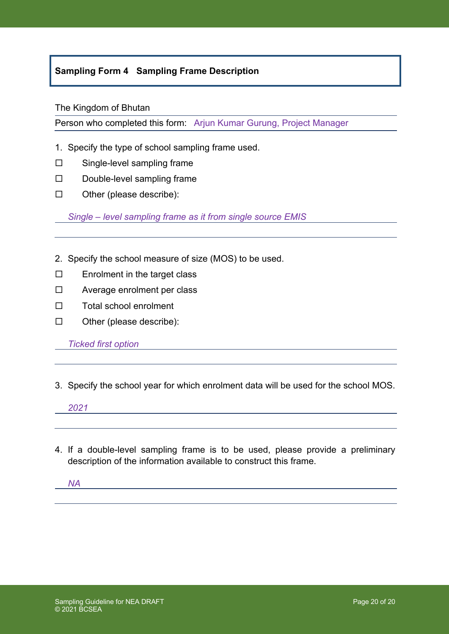### **Sampling Form 4 Sampling Frame Description**

#### The Kingdom of Bhutan

Person who completed this form: Arjun Kumar Gurung, Project Manager

- 1. Specify the type of school sampling frame used.
- $\square$  Single-level sampling frame
- $\square$  Double-level sampling frame
- $\square$  Other (please describe):

*Single – level sampling frame as it from single source EMIS*

- 2. Specify the school measure of size (MOS) to be used.
- $\square$  Enrolment in the target class
- $\square$  Average enrolment per class
- $\square$  Total school enrolment
- $\square$  Other (please describe):

*Ticked first option* 

3. Specify the school year for which enrolment data will be used for the school MOS.

*2021*

4. If a double-level sampling frame is to be used, please provide a preliminary description of the information available to construct this frame.

*NA*